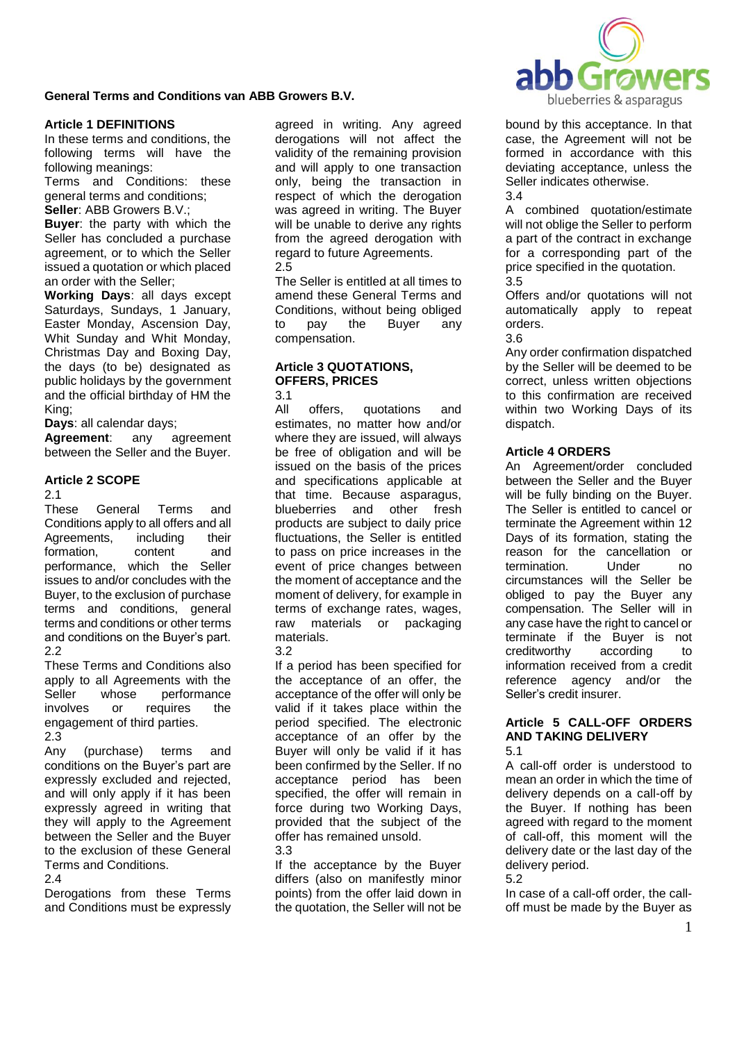

### **Article 1 DEFINITIONS**

In these terms and conditions, the following terms will have the following meanings:

Terms and Conditions: these general terms and conditions;

**Seller**: ABB Growers B.V.;

**Buyer**: the party with which the Seller has concluded a purchase agreement, or to which the Seller issued a quotation or which placed an order with the Seller;

**Working Days**: all days except Saturdays, Sundays, 1 January, Easter Monday, Ascension Day, Whit Sunday and Whit Monday, Christmas Day and Boxing Day, the days (to be) designated as public holidays by the government and the official birthday of HM the King;

**Days**: all calendar days;

**Agreement**: any agreement between the Seller and the Buyer.

## **Article 2 SCOPE**

2.1

These General Terms and Conditions apply to all offers and all Agreements, including their formation, content and performance, which the Seller issues to and/or concludes with the Buyer, to the exclusion of purchase terms and conditions, general terms and conditions or other terms and conditions on the Buyer's part. 2.2

These Terms and Conditions also apply to all Agreements with the Seller whose performance involves or requires the engagement of third parties. 2.3

Any (purchase) terms and conditions on the Buyer's part are expressly excluded and rejected, and will only apply if it has been expressly agreed in writing that they will apply to the Agreement between the Seller and the Buyer to the exclusion of these General Terms and Conditions.

#### 2.4

Derogations from these Terms and Conditions must be expressly agreed in writing. Any agreed derogations will not affect the validity of the remaining provision and will apply to one transaction only, being the transaction in respect of which the derogation was agreed in writing. The Buyer will be unable to derive any rights from the agreed derogation with regard to future Agreements. 2.5

The Seller is entitled at all times to amend these General Terms and Conditions, without being obliged to pay the Buyer any compensation.

# **Article 3 QUOTATIONS, OFFERS, PRICES**

3.1

All offers, quotations and estimates, no matter how and/or where they are issued, will always be free of obligation and will be issued on the basis of the prices and specifications applicable at that time. Because asparagus, blueberries and other fresh products are subject to daily price fluctuations, the Seller is entitled to pass on price increases in the event of price changes between the moment of acceptance and the moment of delivery, for example in terms of exchange rates, wages, raw materials or packaging materials.

### 3.2

If a period has been specified for the acceptance of an offer, the acceptance of the offer will only be valid if it takes place within the period specified. The electronic acceptance of an offer by the Buyer will only be valid if it has been confirmed by the Seller. If no acceptance period has been specified, the offer will remain in force during two Working Days, provided that the subject of the offer has remained unsold. 3.3

If the acceptance by the Buyer differs (also on manifestly minor points) from the offer laid down in the quotation, the Seller will not be

bound by this acceptance. In that case, the Agreement will not be formed in accordance with this deviating acceptance, unless the Seller indicates otherwise. 3.4

A combined quotation/estimate will not oblige the Seller to perform a part of the contract in exchange for a corresponding part of the price specified in the quotation. 3.5

Offers and/or quotations will not automatically apply to repeat orders.

3.6

Any order confirmation dispatched by the Seller will be deemed to be correct, unless written objections to this confirmation are received within two Working Days of its dispatch.

## **Article 4 ORDERS**

An Agreement/order concluded between the Seller and the Buyer will be fully binding on the Buyer. The Seller is entitled to cancel or terminate the Agreement within 12 Days of its formation, stating the reason for the cancellation or termination. Under no circumstances will the Seller be obliged to pay the Buyer any compensation. The Seller will in any case have the right to cancel or terminate if the Buyer is not creditworthy according to information received from a credit reference agency and/or the Seller's credit insurer.

#### **Article 5 CALL-OFF ORDERS AND TAKING DELIVERY** 5.1

A call-off order is understood to mean an order in which the time of delivery depends on a call-off by the Buyer. If nothing has been agreed with regard to the moment of call-off, this moment will the delivery date or the last day of the delivery period.

### 5.2

In case of a call-off order, the calloff must be made by the Buyer as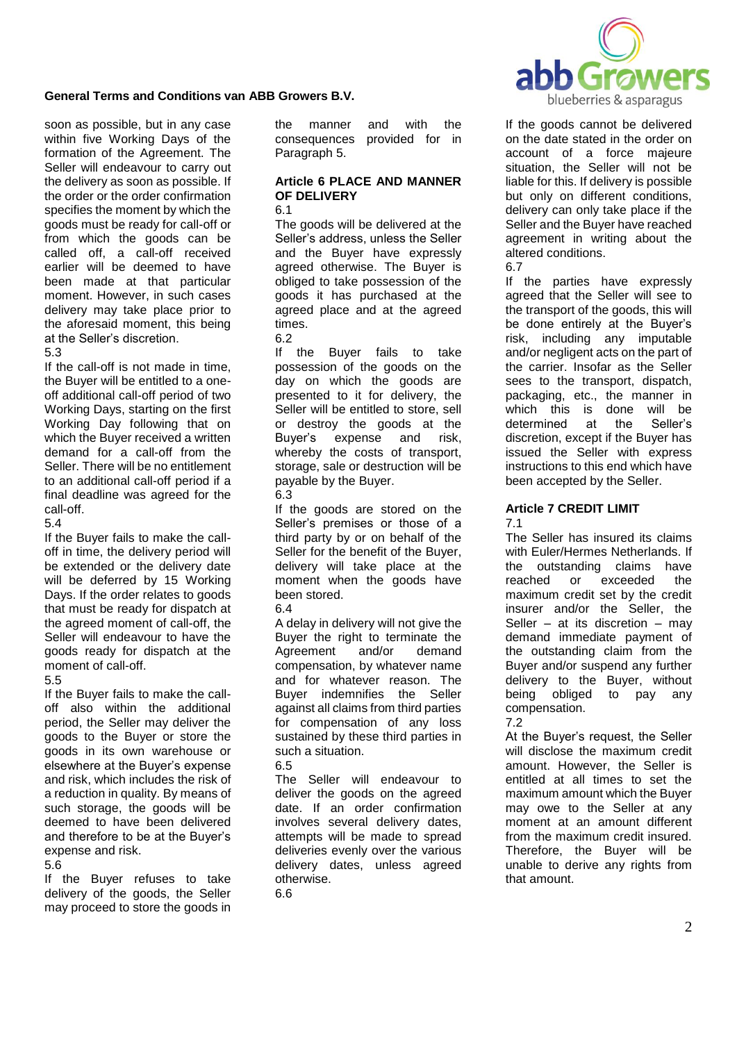

soon as possible, but in any case within five Working Days of the formation of the Agreement. The Seller will endeavour to carry out the delivery as soon as possible. If the order or the order confirmation specifies the moment by which the goods must be ready for call-off or from which the goods can be called off, a call-off received earlier will be deemed to have been made at that particular moment. However, in such cases delivery may take place prior to the aforesaid moment, this being at the Seller's discretion.

#### 5.3

If the call-off is not made in time, the Buyer will be entitled to a oneoff additional call-off period of two Working Days, starting on the first Working Day following that on which the Buyer received a written demand for a call-off from the Seller. There will be no entitlement to an additional call-off period if a final deadline was agreed for the call-off.

### 5.4

If the Buyer fails to make the calloff in time, the delivery period will be extended or the delivery date will be deferred by 15 Working Days. If the order relates to goods that must be ready for dispatch at the agreed moment of call-off, the Seller will endeavour to have the goods ready for dispatch at the moment of call-off.

### 5.5

If the Buyer fails to make the calloff also within the additional period, the Seller may deliver the goods to the Buyer or store the goods in its own warehouse or elsewhere at the Buyer's expense and risk, which includes the risk of a reduction in quality. By means of such storage, the goods will be deemed to have been delivered and therefore to be at the Buyer's expense and risk.

### 5.6

If the Buyer refuses to take delivery of the goods, the Seller may proceed to store the goods in the manner and with the consequences provided for in Paragraph 5.

#### **Article 6 PLACE AND MANNER OF DELIVERY** 6.1

The goods will be delivered at the Seller's address, unless the Seller and the Buyer have expressly agreed otherwise. The Buyer is obliged to take possession of the goods it has purchased at the agreed place and at the agreed times.

6.2

If the Buyer fails to take possession of the goods on the day on which the goods are presented to it for delivery, the Seller will be entitled to store, sell or destroy the goods at the Buyer's expense and risk, whereby the costs of transport. storage, sale or destruction will be payable by the Buyer.

6.3

If the goods are stored on the Seller's premises or those of a third party by or on behalf of the Seller for the benefit of the Buyer, delivery will take place at the moment when the goods have been stored.

## 6.4

A delay in delivery will not give the Buyer the right to terminate the Agreement and/or demand compensation, by whatever name and for whatever reason. The Buyer indemnifies the Seller against all claims from third parties for compensation of any loss sustained by these third parties in such a situation.

## 6.5

The Seller will endeavour to deliver the goods on the agreed date. If an order confirmation involves several delivery dates, attempts will be made to spread deliveries evenly over the various delivery dates, unless agreed otherwise.

6.6

If the goods cannot be delivered on the date stated in the order on account of a force majeure situation, the Seller will not be liable for this. If delivery is possible but only on different conditions, delivery can only take place if the Seller and the Buyer have reached agreement in writing about the altered conditions.

6.7

If the parties have expressly agreed that the Seller will see to the transport of the goods, this will be done entirely at the Buyer's risk, including any imputable and/or negligent acts on the part of the carrier. Insofar as the Seller sees to the transport, dispatch, packaging, etc., the manner in which this is done will be determined at the Seller's discretion, except if the Buyer has issued the Seller with express instructions to this end which have been accepted by the Seller.

# **Article 7 CREDIT LIMIT**

7.1

The Seller has insured its claims with Euler/Hermes Netherlands. If the outstanding claims have reached or exceeded the maximum credit set by the credit insurer and/or the Seller, the Seller – at its discretion – may demand immediate payment of the outstanding claim from the Buyer and/or suspend any further delivery to the Buyer, without being obliged to pay any compensation.

7.2

At the Buyer's request, the Seller will disclose the maximum credit amount. However, the Seller is entitled at all times to set the maximum amount which the Buyer may owe to the Seller at any moment at an amount different from the maximum credit insured. Therefore, the Buyer will be unable to derive any rights from that amount.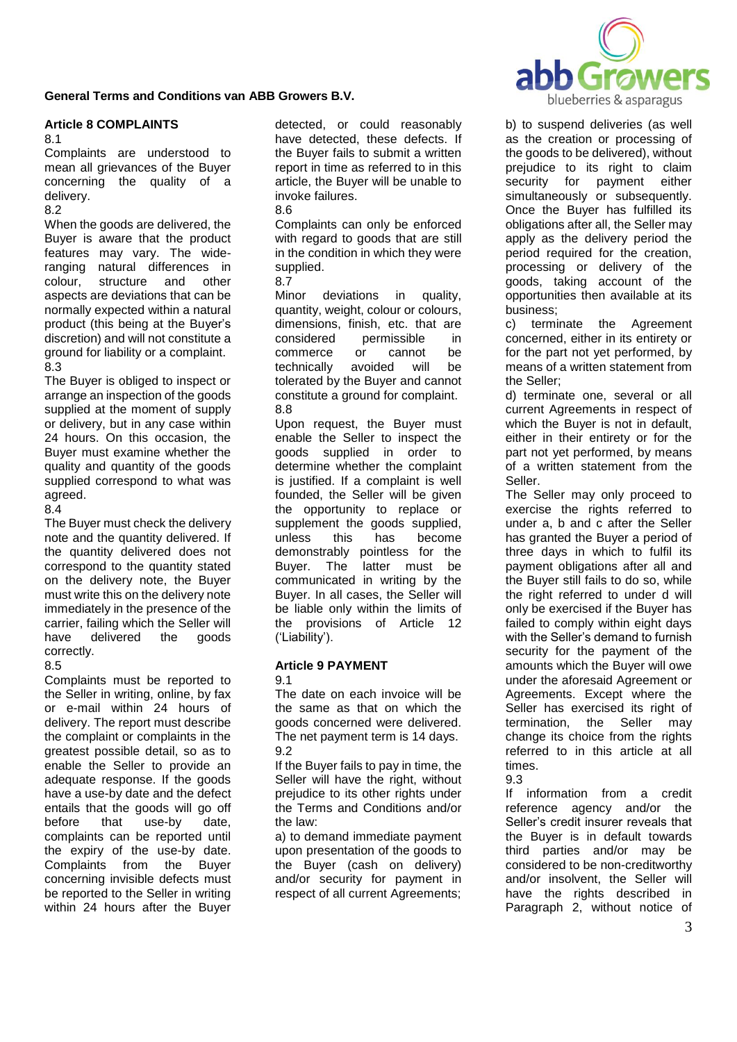

## **Article 8 COMPLAINTS**

8.1

Complaints are understood to mean all grievances of the Buyer concerning the quality of a delivery.

8.2

When the goods are delivered, the Buyer is aware that the product features may vary. The wideranging natural differences in colour, structure and other aspects are deviations that can be normally expected within a natural product (this being at the Buyer's discretion) and will not constitute a ground for liability or a complaint. 8.3

The Buyer is obliged to inspect or arrange an inspection of the goods supplied at the moment of supply or delivery, but in any case within 24 hours. On this occasion, the Buyer must examine whether the quality and quantity of the goods supplied correspond to what was agreed.

8.4

The Buyer must check the delivery note and the quantity delivered. If the quantity delivered does not correspond to the quantity stated on the delivery note, the Buyer must write this on the delivery note immediately in the presence of the carrier, failing which the Seller will have delivered the goods correctly.

# 8.5

Complaints must be reported to the Seller in writing, online, by fax or e-mail within 24 hours of delivery. The report must describe the complaint or complaints in the greatest possible detail, so as to enable the Seller to provide an adequate response. If the goods have a use-by date and the defect entails that the goods will go off before that use-by date, complaints can be reported until the expiry of the use-by date. Complaints from the Buyer concerning invisible defects must be reported to the Seller in writing within 24 hours after the Buyer

detected, or could reasonably have detected, these defects. If the Buyer fails to submit a written report in time as referred to in this article, the Buyer will be unable to invoke failures. 8.6

Complaints can only be enforced with regard to goods that are still in the condition in which they were supplied.

## 8.7

Minor deviations in quality, quantity, weight, colour or colours, dimensions, finish, etc. that are considered permissible in commerce or cannot be technically avoided will be tolerated by the Buyer and cannot constitute a ground for complaint. 8.8

Upon request, the Buyer must enable the Seller to inspect the goods supplied in order to determine whether the complaint is justified. If a complaint is well founded, the Seller will be given the opportunity to replace or supplement the goods supplied, unless this has become demonstrably pointless for the Buyer. The latter must be communicated in writing by the Buyer. In all cases, the Seller will be liable only within the limits of the provisions of Article 12 ('Liability').

# **Article 9 PAYMENT**

9.1

The date on each invoice will be the same as that on which the goods concerned were delivered. The net payment term is 14 days. 9.2

If the Buyer fails to pay in time, the Seller will have the right, without prejudice to its other rights under the Terms and Conditions and/or the law:

a) to demand immediate payment upon presentation of the goods to the Buyer (cash on delivery) and/or security for payment in respect of all current Agreements;

b) to suspend deliveries (as well as the creation or processing of the goods to be delivered), without prejudice to its right to claim security for payment either simultaneously or subsequently. Once the Buyer has fulfilled its obligations after all, the Seller may apply as the delivery period the period required for the creation, processing or delivery of the goods, taking account of the opportunities then available at its business;

c) terminate the Agreement concerned, either in its entirety or for the part not yet performed, by means of a written statement from the Seller;

d) terminate one, several or all current Agreements in respect of which the Buyer is not in default, either in their entirety or for the part not yet performed, by means of a written statement from the Seller.

The Seller may only proceed to exercise the rights referred to under a, b and c after the Seller has granted the Buyer a period of three days in which to fulfil its payment obligations after all and the Buyer still fails to do so, while the right referred to under d will only be exercised if the Buyer has failed to comply within eight days with the Seller's demand to furnish security for the payment of the amounts which the Buyer will owe under the aforesaid Agreement or Agreements. Except where the Seller has exercised its right of termination, the Seller may change its choice from the rights referred to in this article at all times.

9.3

If information from a credit reference agency and/or the Seller's credit insurer reveals that the Buyer is in default towards third parties and/or may be considered to be non-creditworthy and/or insolvent, the Seller will have the rights described in Paragraph 2, without notice of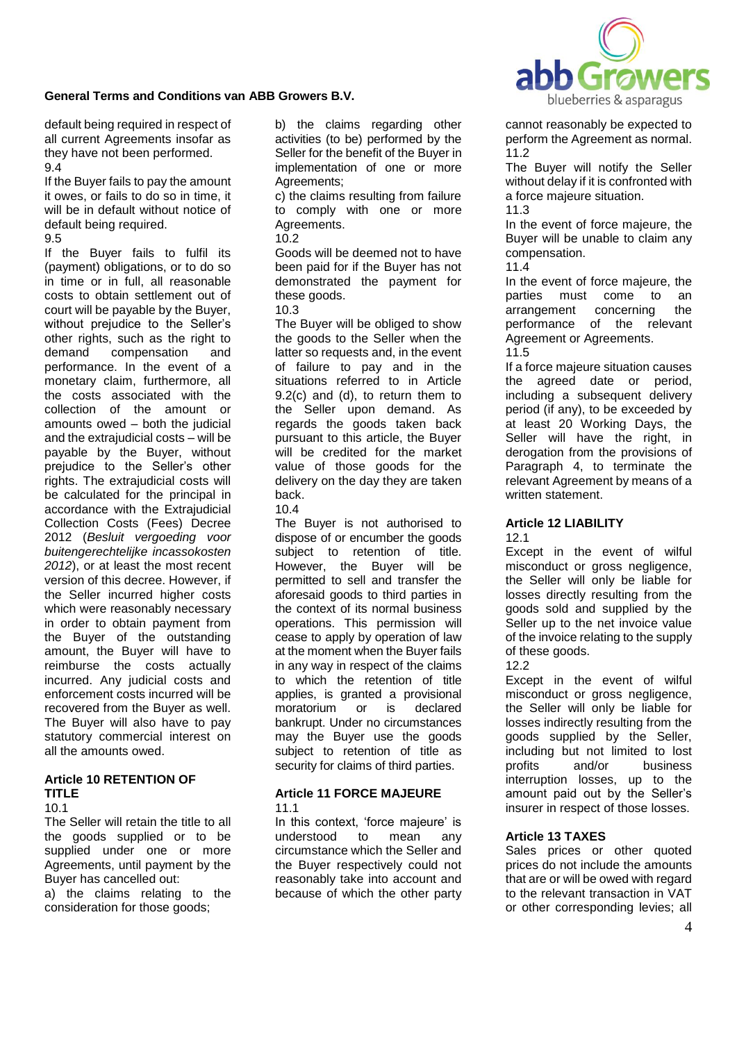

default being required in respect of all current Agreements insofar as they have not been performed. 9.4

If the Buyer fails to pay the amount it owes, or fails to do so in time, it will be in default without notice of default being required.

#### 9.5

If the Buyer fails to fulfil its (payment) obligations, or to do so in time or in full, all reasonable costs to obtain settlement out of court will be payable by the Buyer, without prejudice to the Seller's other rights, such as the right to demand compensation and performance. In the event of a monetary claim, furthermore, all the costs associated with the collection of the amount or amounts owed – both the judicial and the extrajudicial costs – will be payable by the Buyer, without prejudice to the Seller's other rights. The extrajudicial costs will be calculated for the principal in accordance with the Extrajudicial Collection Costs (Fees) Decree 2012 (*Besluit vergoeding voor buitengerechtelijke incassokosten 2012*), or at least the most recent version of this decree. However, if the Seller incurred higher costs which were reasonably necessary in order to obtain payment from the Buyer of the outstanding amount, the Buyer will have to reimburse the costs actually incurred. Any judicial costs and enforcement costs incurred will be recovered from the Buyer as well. The Buyer will also have to pay statutory commercial interest on all the amounts owed.

## **Article 10 RETENTION OF TITLE**

 $10.1$ 

The Seller will retain the title to all the goods supplied or to be supplied under one or more Agreements, until payment by the Buyer has cancelled out:

a) the claims relating to the consideration for those goods;

b) the claims regarding other activities (to be) performed by the Seller for the benefit of the Buyer in implementation of one or more Agreements;

c) the claims resulting from failure to comply with one or more Agreements

10.2

Goods will be deemed not to have been paid for if the Buyer has not demonstrated the payment for these goods.

# 10.3

The Buyer will be obliged to show the goods to the Seller when the latter so requests and, in the event of failure to pay and in the situations referred to in Article 9.2(c) and (d), to return them to the Seller upon demand. As regards the goods taken back pursuant to this article, the Buyer will be credited for the market value of those goods for the delivery on the day they are taken back.

# 10.4

The Buyer is not authorised to dispose of or encumber the goods subject to retention of title. However, the Buyer will be permitted to sell and transfer the aforesaid goods to third parties in the context of its normal business operations. This permission will cease to apply by operation of law at the moment when the Buyer fails in any way in respect of the claims to which the retention of title applies, is granted a provisional moratorium or is declared bankrupt. Under no circumstances may the Buyer use the goods subject to retention of title as security for claims of third parties.

## **Article 11 FORCE MAJEURE** 11.1

In this context, 'force majeure' is understood to mean any circumstance which the Seller and the Buyer respectively could not reasonably take into account and because of which the other party

cannot reasonably be expected to perform the Agreement as normal. 11.2

The Buyer will notify the Seller without delay if it is confronted with a force majeure situation.

11.3

In the event of force majeure, the Buyer will be unable to claim any compensation.

11.4

In the event of force majeure, the parties must come to an arrangement concerning the performance of the relevant Agreement or Agreements. 11.5

If a force majeure situation causes the agreed date or period, including a subsequent delivery period (if any), to be exceeded by at least 20 Working Days, the Seller will have the right, in derogation from the provisions of Paragraph 4, to terminate the relevant Agreement by means of a written statement.

#### **Article 12 LIABILITY** 12.1

Except in the event of wilful misconduct or gross negligence, the Seller will only be liable for losses directly resulting from the goods sold and supplied by the Seller up to the net invoice value of the invoice relating to the supply of these goods.

# 12.2

Except in the event of wilful misconduct or gross negligence, the Seller will only be liable for losses indirectly resulting from the goods supplied by the Seller, including but not limited to lost profits and/or business interruption losses, up to the amount paid out by the Seller's insurer in respect of those losses.

# **Article 13 TAXES**

Sales prices or other quoted prices do not include the amounts that are or will be owed with regard to the relevant transaction in VAT or other corresponding levies; all